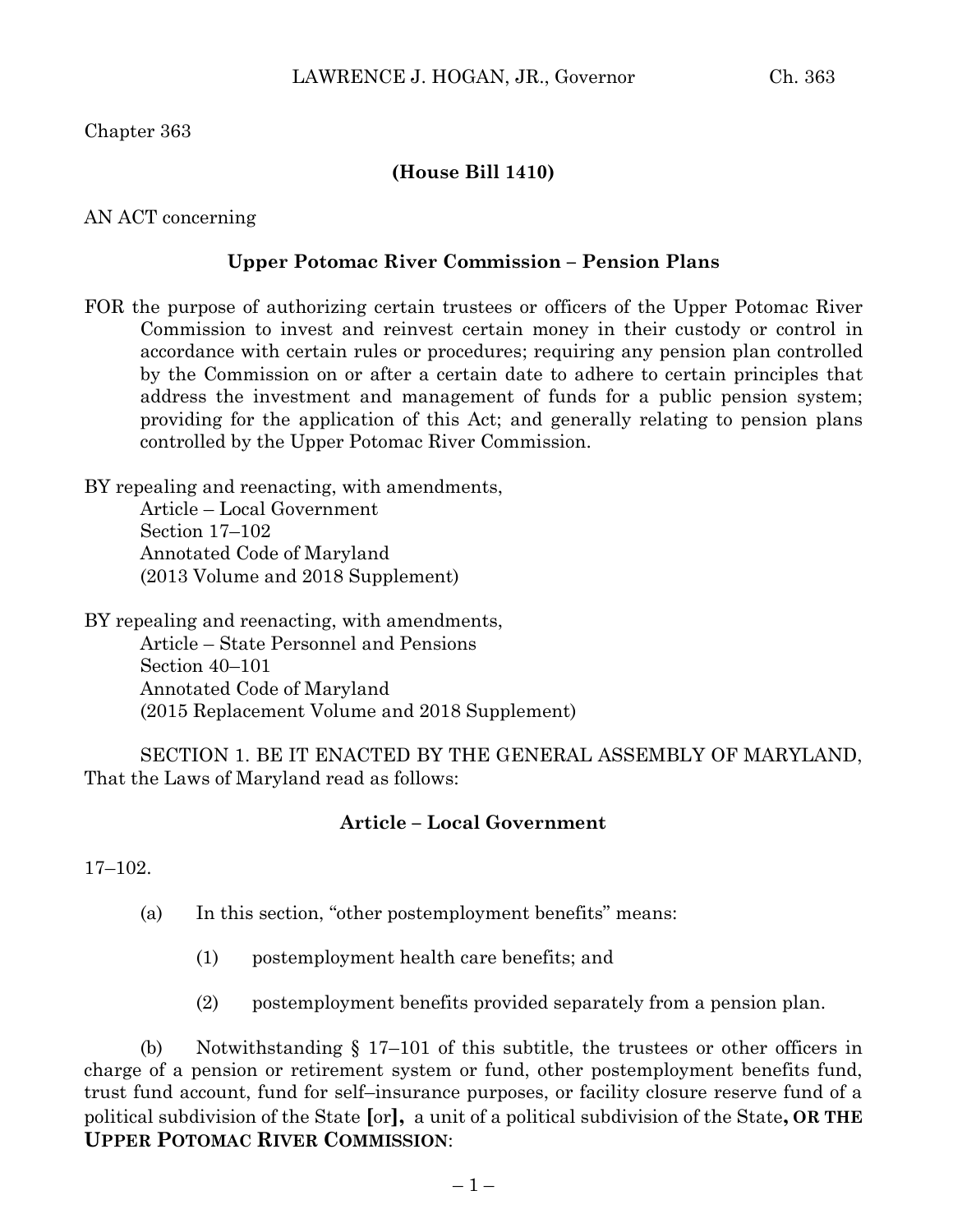Chapter 363

### **(House Bill 1410)**

AN ACT concerning

#### **Upper Potomac River Commission – Pension Plans**

FOR the purpose of authorizing certain trustees or officers of the Upper Potomac River Commission to invest and reinvest certain money in their custody or control in accordance with certain rules or procedures; requiring any pension plan controlled by the Commission on or after a certain date to adhere to certain principles that address the investment and management of funds for a public pension system; providing for the application of this Act; and generally relating to pension plans controlled by the Upper Potomac River Commission.

BY repealing and reenacting, with amendments, Article – Local Government

> Section 17–102 Annotated Code of Maryland (2013 Volume and 2018 Supplement)

BY repealing and reenacting, with amendments, Article – State Personnel and Pensions Section 40–101 Annotated Code of Maryland (2015 Replacement Volume and 2018 Supplement)

SECTION 1. BE IT ENACTED BY THE GENERAL ASSEMBLY OF MARYLAND, That the Laws of Maryland read as follows:

### **Article – Local Government**

17–102.

- (a) In this section, "other postemployment benefits" means:
	- (1) postemployment health care benefits; and
	- (2) postemployment benefits provided separately from a pension plan.

(b) Notwithstanding § 17–101 of this subtitle, the trustees or other officers in charge of a pension or retirement system or fund, other postemployment benefits fund, trust fund account, fund for self–insurance purposes, or facility closure reserve fund of a political subdivision of the State **[**or**],** a unit of a political subdivision of the State**, OR THE UPPER POTOMAC RIVER COMMISSION**: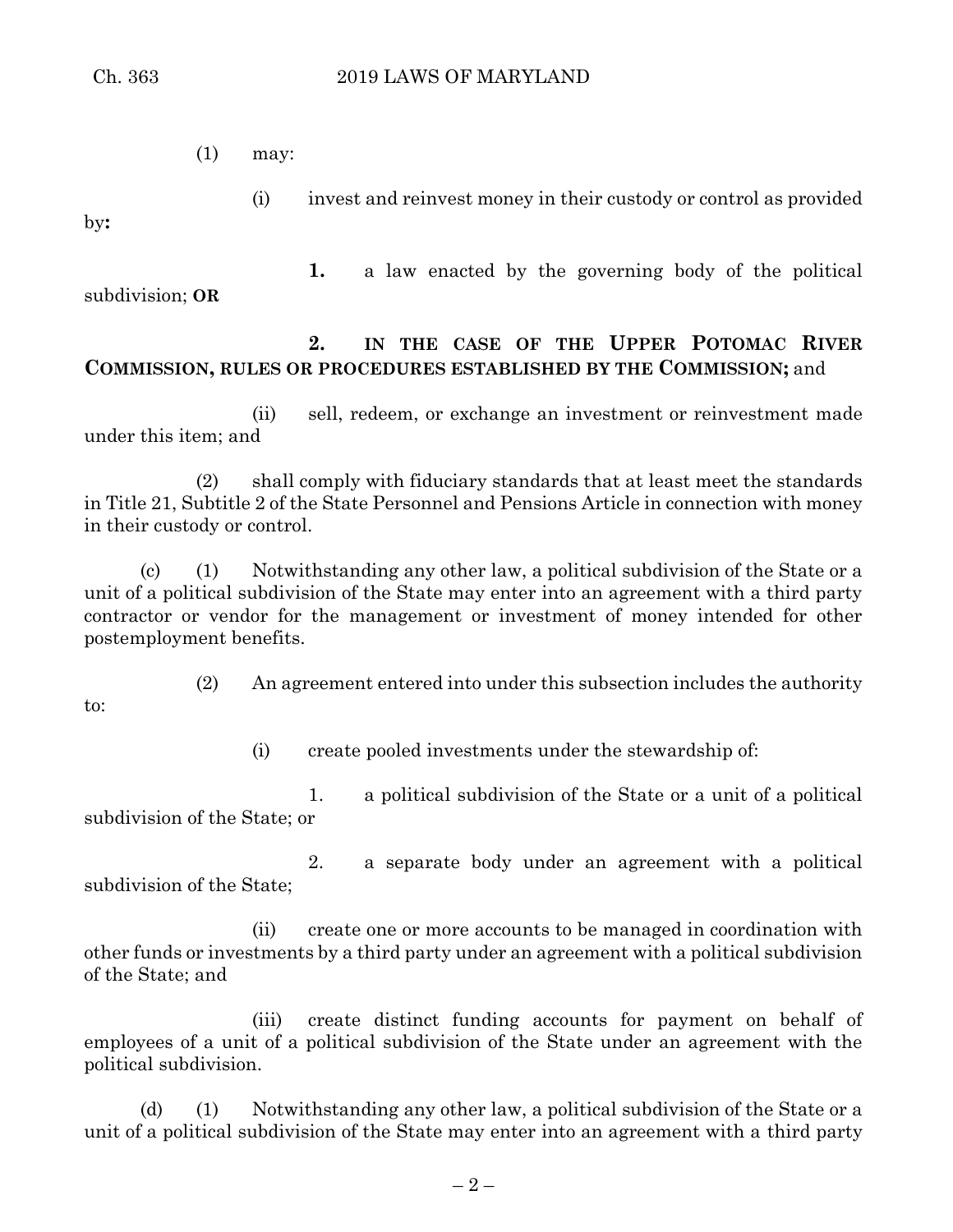(1) may:

by**:**

to:

subdivision; **OR**

**1.** a law enacted by the governing body of the political

(i) invest and reinvest money in their custody or control as provided

## **2. IN THE CASE OF THE UPPER POTOMAC RIVER COMMISSION, RULES OR PROCEDURES ESTABLISHED BY THE COMMISSION;** and

(ii) sell, redeem, or exchange an investment or reinvestment made under this item; and

(2) shall comply with fiduciary standards that at least meet the standards in Title 21, Subtitle 2 of the State Personnel and Pensions Article in connection with money in their custody or control.

(c) (1) Notwithstanding any other law, a political subdivision of the State or a unit of a political subdivision of the State may enter into an agreement with a third party contractor or vendor for the management or investment of money intended for other postemployment benefits.

(2) An agreement entered into under this subsection includes the authority

(i) create pooled investments under the stewardship of:

1. a political subdivision of the State or a unit of a political subdivision of the State; or

2. a separate body under an agreement with a political subdivision of the State;

(ii) create one or more accounts to be managed in coordination with other funds or investments by a third party under an agreement with a political subdivision of the State; and

(iii) create distinct funding accounts for payment on behalf of employees of a unit of a political subdivision of the State under an agreement with the political subdivision.

(d) (1) Notwithstanding any other law, a political subdivision of the State or a unit of a political subdivision of the State may enter into an agreement with a third party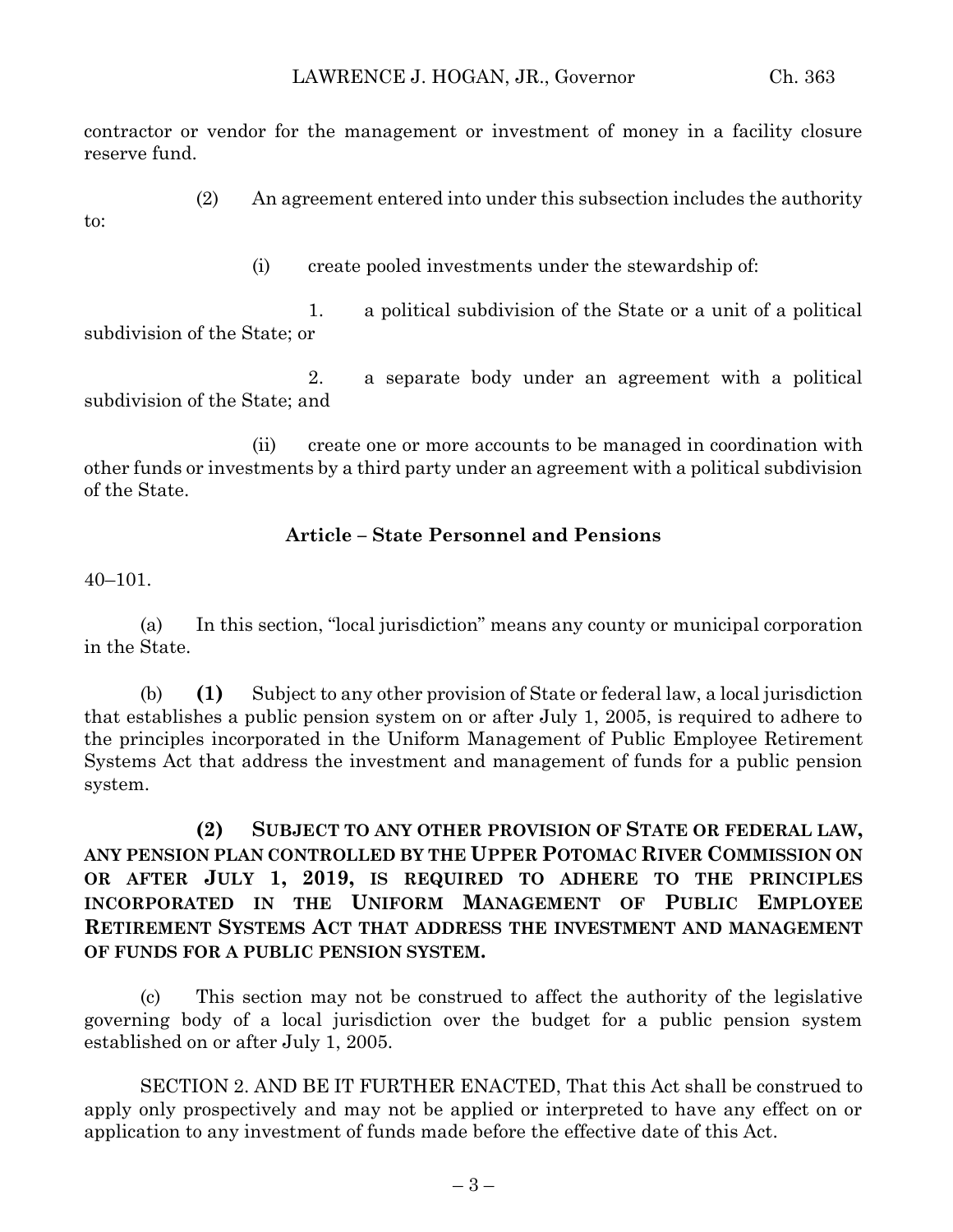contractor or vendor for the management or investment of money in a facility closure reserve fund.

(2) An agreement entered into under this subsection includes the authority

to:

(i) create pooled investments under the stewardship of:

1. a political subdivision of the State or a unit of a political subdivision of the State; or

2. a separate body under an agreement with a political subdivision of the State; and

(ii) create one or more accounts to be managed in coordination with other funds or investments by a third party under an agreement with a political subdivision of the State.

### **Article – State Personnel and Pensions**

40–101.

(a) In this section, "local jurisdiction" means any county or municipal corporation in the State.

(b) **(1)** Subject to any other provision of State or federal law, a local jurisdiction that establishes a public pension system on or after July 1, 2005, is required to adhere to the principles incorporated in the Uniform Management of Public Employee Retirement Systems Act that address the investment and management of funds for a public pension system.

**(2) SUBJECT TO ANY OTHER PROVISION OF STATE OR FEDERAL LAW, ANY PENSION PLAN CONTROLLED BY THE UPPER POTOMAC RIVER COMMISSION ON OR AFTER JULY 1, 2019, IS REQUIRED TO ADHERE TO THE PRINCIPLES INCORPORATED IN THE UNIFORM MANAGEMENT OF PUBLIC EMPLOYEE RETIREMENT SYSTEMS ACT THAT ADDRESS THE INVESTMENT AND MANAGEMENT OF FUNDS FOR A PUBLIC PENSION SYSTEM.**

(c) This section may not be construed to affect the authority of the legislative governing body of a local jurisdiction over the budget for a public pension system established on or after July 1, 2005.

SECTION 2. AND BE IT FURTHER ENACTED, That this Act shall be construed to apply only prospectively and may not be applied or interpreted to have any effect on or application to any investment of funds made before the effective date of this Act.